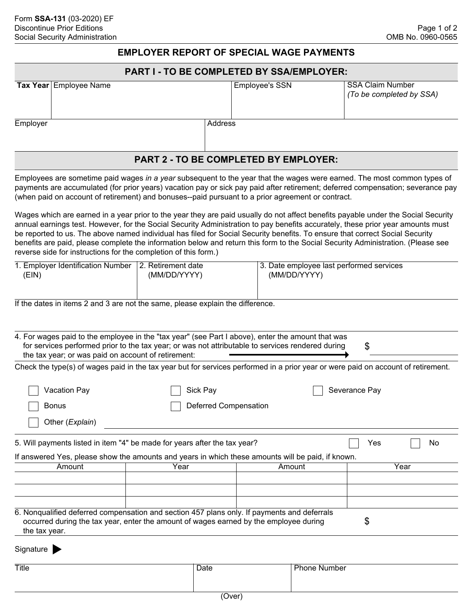# **EMPLOYER REPORT OF SPECIAL WAGE PAYMENTS**

### **PART I - TO BE COMPLETED BY SSA/EMPLOYER:**

| Tax Year Employee Name |         | <b>Employee's SSN</b> | l SSA Claim Number<br>(To be completed by SSA) |
|------------------------|---------|-----------------------|------------------------------------------------|
| Employer               | Address |                       |                                                |

# **PART 2 - TO BE COMPLETED BY EMPLOYER:**

Employees are sometime paid wages *in a year* subsequent to the year that the wages were earned. The most common types of payments are accumulated (for prior years) vacation pay or sick pay paid after retirement; deferred compensation; severance pay (when paid on account of retirement) and bonuses--paid pursuant to a prior agreement or contract.

Wages which are earned in a year prior to the year they are paid usually do not affect benefits payable under the Social Security annual earnings test. However, for the Social Security Administration to pay benefits accurately, these prior year amounts must be reported to us. The above named individual has filed for Social Security benefits. To ensure that correct Social Security benefits are paid, please complete the information below and return this form to the Social Security Administration. (Please see reverse side for instructions for the completion of this form.)

| 1. Employer Identification Number | ∃2. Retirement date | 13. Date employee last performed services |
|-----------------------------------|---------------------|-------------------------------------------|
| 'EIN)                             | (MM/DD/YYYY)        | (MM/DD/YYYY)                              |
|                                   |                     |                                           |

If the dates in items 2 and 3 are not the same, please explain the difference.

|                                                                                                                                                                                             | 4. For wages paid to the employee in the "tax year" (see Part I above), enter the amount that was |        |               |  |  |  |
|---------------------------------------------------------------------------------------------------------------------------------------------------------------------------------------------|---------------------------------------------------------------------------------------------------|--------|---------------|--|--|--|
| for services performed prior to the tax year; or was not attributable to services rendered during<br>\$                                                                                     |                                                                                                   |        |               |  |  |  |
| the tax year; or was paid on account of retirement:                                                                                                                                         |                                                                                                   |        |               |  |  |  |
| Check the type(s) of wages paid in the tax year but for services performed in a prior year or were paid on account of retirement.                                                           |                                                                                                   |        |               |  |  |  |
| Vacation Pay                                                                                                                                                                                | Sick Pay                                                                                          |        | Severance Pay |  |  |  |
| <b>Bonus</b>                                                                                                                                                                                | Deferred Compensation                                                                             |        |               |  |  |  |
| Other (Explain)                                                                                                                                                                             |                                                                                                   |        |               |  |  |  |
| 5. Will payments listed in item "4" be made for years after the tax year?<br>Yes<br>No<br>If answered Yes, please show the amounts and years in which these amounts will be paid, if known. |                                                                                                   |        |               |  |  |  |
|                                                                                                                                                                                             |                                                                                                   |        |               |  |  |  |
| Amount                                                                                                                                                                                      | Year                                                                                              | Amount | Year          |  |  |  |
|                                                                                                                                                                                             |                                                                                                   |        |               |  |  |  |
|                                                                                                                                                                                             | 6. Nonqualified deferred compensation and section 457 plans only. If payments and deferrals       |        |               |  |  |  |
| the tax year.                                                                                                                                                                               | occurred during the tax year, enter the amount of wages earned by the employee during             |        | \$            |  |  |  |
| Signature                                                                                                                                                                                   |                                                                                                   |        |               |  |  |  |

| Title | Date | D.<br>none Number |
|-------|------|-------------------|
|       |      |                   |
|       |      |                   |